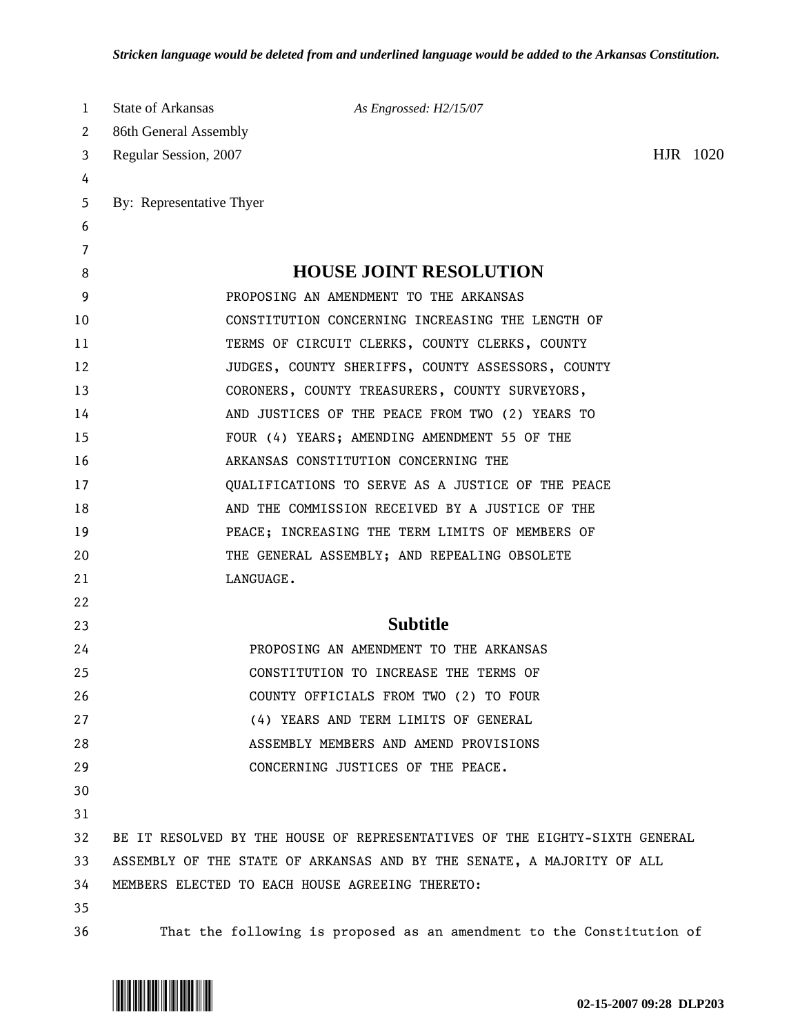| 1  | State of Arkansas                                                          | As Engrossed: H2/15/07                                                |  |          |  |
|----|----------------------------------------------------------------------------|-----------------------------------------------------------------------|--|----------|--|
| 2  | 86th General Assembly                                                      |                                                                       |  |          |  |
| 3  | Regular Session, 2007                                                      |                                                                       |  | HJR 1020 |  |
| 4  |                                                                            |                                                                       |  |          |  |
| 5  | By: Representative Thyer                                                   |                                                                       |  |          |  |
| 6  |                                                                            |                                                                       |  |          |  |
| 7  |                                                                            |                                                                       |  |          |  |
| 8  |                                                                            | <b>HOUSE JOINT RESOLUTION</b>                                         |  |          |  |
| 9  |                                                                            | PROPOSING AN AMENDMENT TO THE ARKANSAS                                |  |          |  |
| 10 |                                                                            | CONSTITUTION CONCERNING INCREASING THE LENGTH OF                      |  |          |  |
| 11 |                                                                            | TERMS OF CIRCUIT CLERKS, COUNTY CLERKS, COUNTY                        |  |          |  |
| 12 |                                                                            | JUDGES, COUNTY SHERIFFS, COUNTY ASSESSORS, COUNTY                     |  |          |  |
| 13 |                                                                            | CORONERS, COUNTY TREASURERS, COUNTY SURVEYORS,                        |  |          |  |
| 14 |                                                                            | AND JUSTICES OF THE PEACE FROM TWO (2) YEARS TO                       |  |          |  |
| 15 |                                                                            | FOUR (4) YEARS; AMENDING AMENDMENT 55 OF THE                          |  |          |  |
| 16 |                                                                            | ARKANSAS CONSTITUTION CONCERNING THE                                  |  |          |  |
| 17 |                                                                            | QUALIFICATIONS TO SERVE AS A JUSTICE OF THE PEACE                     |  |          |  |
| 18 |                                                                            | AND THE COMMISSION RECEIVED BY A JUSTICE OF THE                       |  |          |  |
| 19 |                                                                            | PEACE; INCREASING THE TERM LIMITS OF MEMBERS OF                       |  |          |  |
| 20 |                                                                            | THE GENERAL ASSEMBLY; AND REPEALING OBSOLETE                          |  |          |  |
| 21 |                                                                            | LANGUAGE.                                                             |  |          |  |
| 22 |                                                                            |                                                                       |  |          |  |
| 23 |                                                                            | <b>Subtitle</b>                                                       |  |          |  |
| 24 |                                                                            | PROPOSING AN AMENDMENT TO THE ARKANSAS                                |  |          |  |
| 25 |                                                                            | CONSTITUTION TO INCREASE THE TERMS OF                                 |  |          |  |
| 26 |                                                                            | COUNTY OFFICIALS FROM TWO (2) TO FOUR                                 |  |          |  |
| 27 |                                                                            | (4) YEARS AND TERM LIMITS OF GENERAL                                  |  |          |  |
| 28 |                                                                            | ASSEMBLY MEMBERS AND AMEND PROVISIONS                                 |  |          |  |
| 29 |                                                                            | CONCERNING JUSTICES OF THE PEACE.                                     |  |          |  |
| 30 |                                                                            |                                                                       |  |          |  |
| 31 |                                                                            |                                                                       |  |          |  |
| 32 | BE IT RESOLVED BY THE HOUSE OF REPRESENTATIVES OF THE EIGHTY-SIXTH GENERAL |                                                                       |  |          |  |
| 33 | ASSEMBLY OF THE STATE OF ARKANSAS AND BY THE SENATE, A MAJORITY OF ALL     |                                                                       |  |          |  |
| 34 |                                                                            | MEMBERS ELECTED TO EACH HOUSE AGREEING THERETO:                       |  |          |  |
| 35 |                                                                            |                                                                       |  |          |  |
| 36 |                                                                            | That the following is proposed as an amendment to the Constitution of |  |          |  |

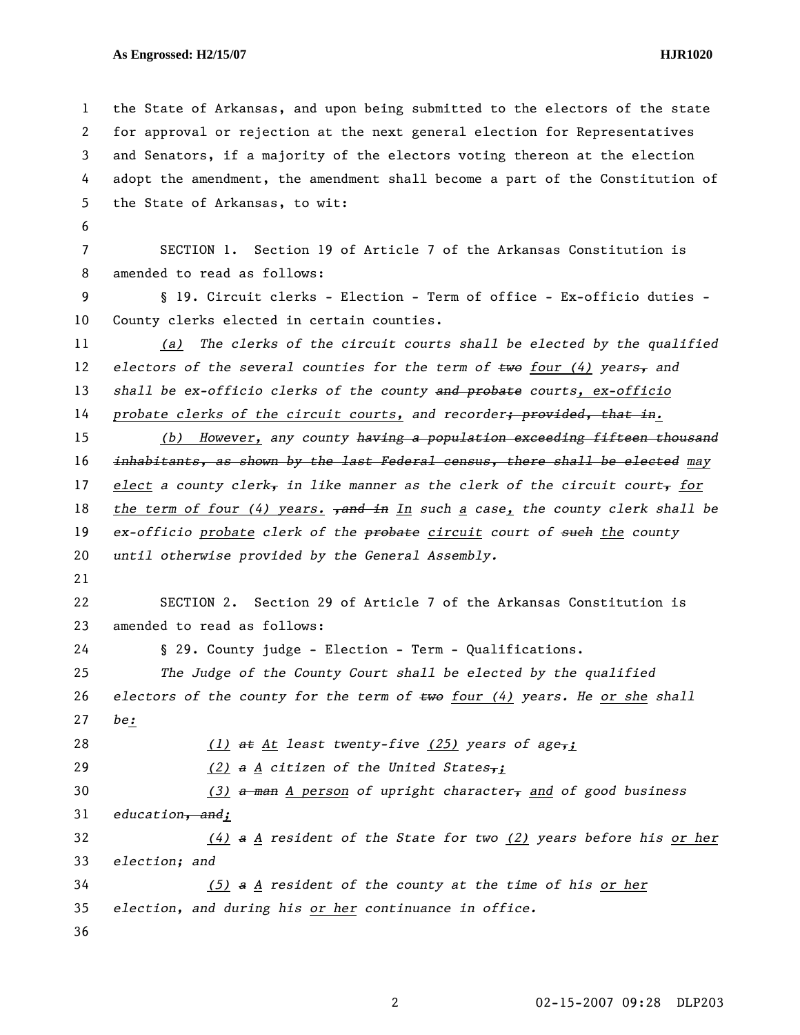## **As Engrossed: H2/15/07 HJR1020**

1 the State of Arkansas, and upon being submitted to the electors of the state 2 for approval or rejection at the next general election for Representatives 3 and Senators, if a majority of the electors voting thereon at the election 4 adopt the amendment, the amendment shall become a part of the Constitution of 5 the State of Arkansas, to wit: 6 7 SECTION 1. Section 19 of Article 7 of the Arkansas Constitution is 8 amended to read as follows: 9 § 19. Circuit clerks - Election - Term of office - Ex-officio duties - 10 County clerks elected in certain counties. 11 *(a) The clerks of the circuit courts shall be elected by the qualified*  12 *electors of the several counties for the term of*  $\epsilon$ *we four (4) years<sub>r</sub> and* 13 *shall be ex-officio clerks of the county and probate courts, ex-officio*  14 *probate clerks of the circuit courts, and recorder; provided, that in.* 15 *(b) However, any county having a population exceeding fifteen thousand*  16 *inhabitants, as shown by the last Federal census, there shall be elected may*  17 elect a county clerk<sub>y</sub> in like manner as the clerk of the circuit court<sub>y</sub> for 18 *the term of four (4) years. <del>, and in</del> In such a case, the county clerk shall be* 19 *ex-officio probate clerk of the probate circuit court of such the county*  20 *until otherwise provided by the General Assembly.*  21 22 SECTION 2. Section 29 of Article 7 of the Arkansas Constitution is 23 amended to read as follows: 24 § 29. County judge - Election - Term - Qualifications. 25 *The Judge of the County Court shall be elected by the qualified*  26 *electors of the county for the term of two four (4) years. He or she shall*  27 *be:* 28 *(1) at At least twenty-five (25) years of age,;* 29 *(2) a A citizen of the United States,;*  30 *(3) a man A person of upright character, and of good business*  31 *education, and;*  32 *(4) a A resident of the State for two (2) years before his or her* 33 *election; and*  34 *(5) a A resident of the county at the time of his or her* 35 *election, and during his or her continuance in office.*  36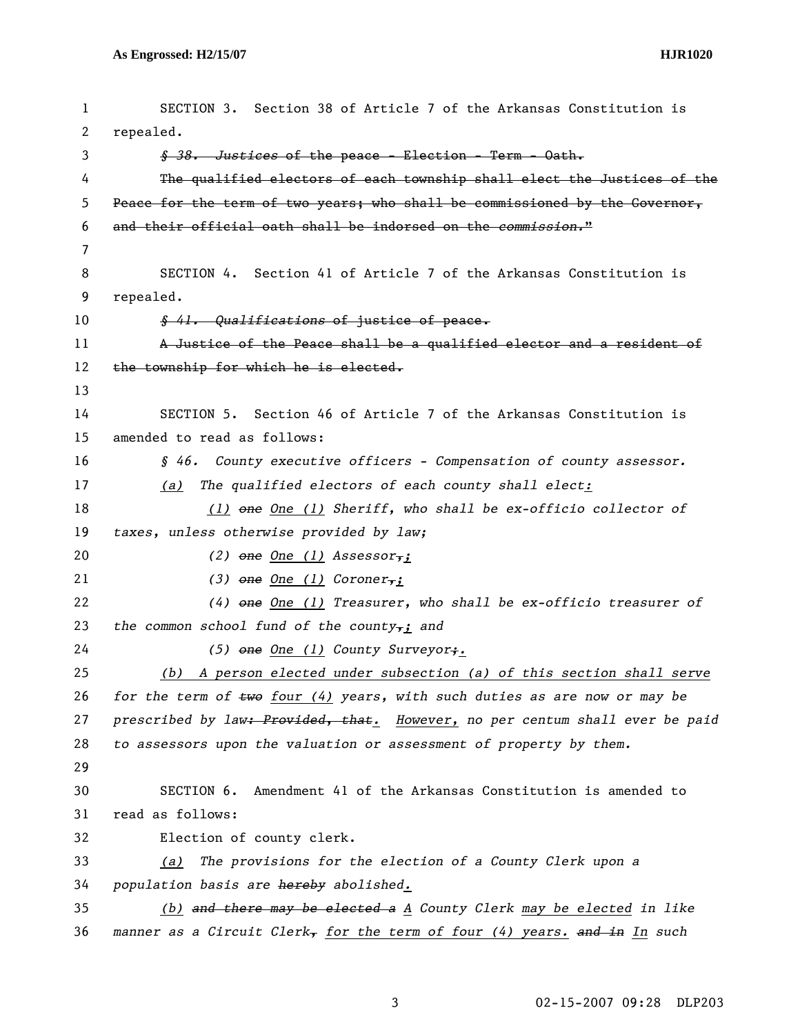```
1 SECTION 3. Section 38 of Article 7 of the Arkansas Constitution is 
2 repealed. 
3 § 38. Justices of the peace - Election - Term - Oath. 
 4 The qualified electors of each township shall elect the Justices of the 
5 Peace for the term of two years; who shall be commissioned by the Governor, 
6 and their official oath shall be indorsed on the commission." 
7 
8 SECTION 4. Section 41 of Article 7 of the Arkansas Constitution is 
9 repealed. 
10 § 41. Qualifications of justice of peace. 
11 A Justice of the Peace shall be a qualified elector and a resident of 
12 the township for which he is elected.
13 
14 SECTION 5. Section 46 of Article 7 of the Arkansas Constitution is 
15 amended to read as follows: 
16 § 46. County executive officers - Compensation of county assessor. 
17 (a) The qualified electors of each county shall elect:
18 (1) one One (1) Sheriff, who shall be ex-officio collector of 
19 taxes, unless otherwise provided by law; 
20 (2) one One (1) Assessor,;
21 (3) one One (1) Coroner,;
22 (4) one One (1) Treasurer, who shall be ex-officio treasurer of 
23 the common school fund of the county,; and 
24 (5) one One (1) County Surveyor;.
25 (b) A person elected under subsection (a) of this section shall serve
26 for the term of two four (4) years, with such duties as are now or may be 
27 prescribed by law: Provided, that. However, no per centum shall ever be paid 
28 to assessors upon the valuation or assessment of property by them. 
29 
30 SECTION 6. Amendment 41 of the Arkansas Constitution is amended to 
31 read as follows: 
32 Election of county clerk. 
33 (a) The provisions for the election of a County Clerk upon a 
34 population basis are hereby abolished. 
35 (b) and there may be elected a A County Clerk may be elected in like 
36 manner as a Circuit Clerk, for the term of four (4) years. and in In such
```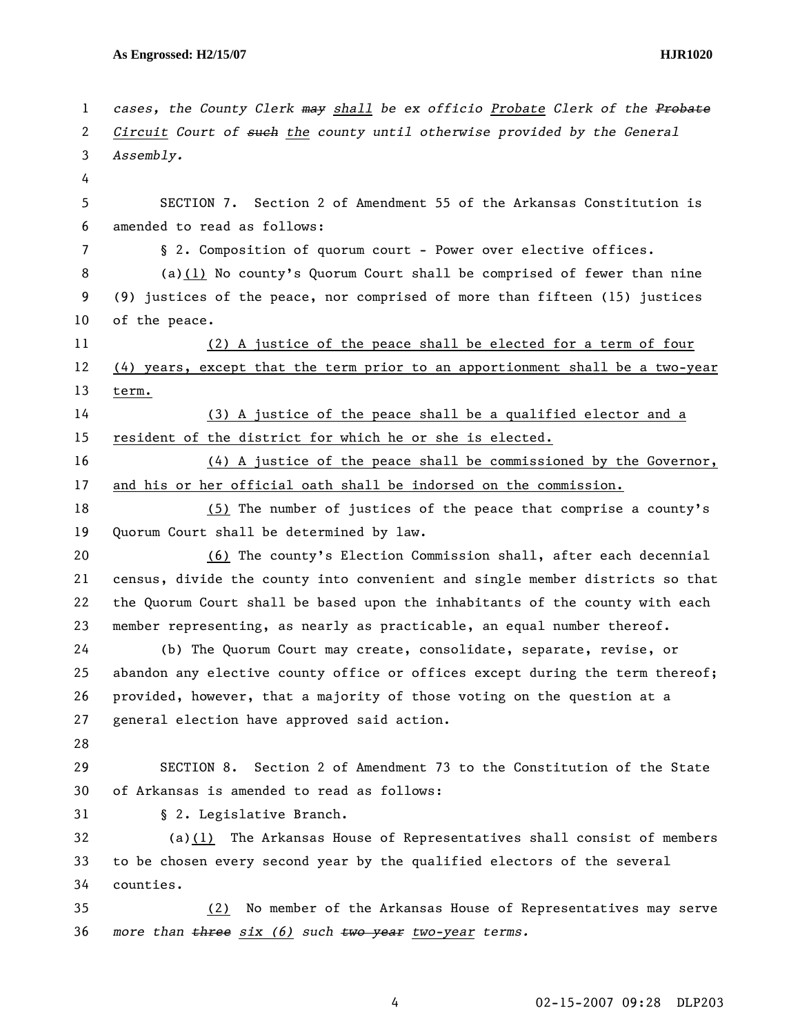1 *cases, the County Clerk may shall be ex officio Probate Clerk of the Probate* 2 *Circuit Court of such the county until otherwise provided by the General*  3 *Assembly.*  4 5 SECTION 7. Section 2 of Amendment 55 of the Arkansas Constitution is 6 amended to read as follows: 7 § 2. Composition of quorum court - Power over elective offices. 8 (a)(1) No county's Quorum Court shall be comprised of fewer than nine 9 (9) justices of the peace, nor comprised of more than fifteen (15) justices 10 of the peace. 11 (2) A justice of the peace shall be elected for a term of four 12 (4) years, except that the term prior to an apportionment shall be a two-year 13 term. 14 (3) A justice of the peace shall be a qualified elector and a 15 resident of the district for which he or she is elected. 16 (4) A justice of the peace shall be commissioned by the Governor, 17 and his or her official oath shall be indorsed on the commission. 18 (5) The number of justices of the peace that comprise a county's 19 Quorum Court shall be determined by law. 20 (6) The county's Election Commission shall, after each decennial 21 census, divide the county into convenient and single member districts so that 22 the Quorum Court shall be based upon the inhabitants of the county with each 23 member representing, as nearly as practicable, an equal number thereof. 24 (b) The Quorum Court may create, consolidate, separate, revise, or 25 abandon any elective county office or offices except during the term thereof; 26 provided, however, that a majority of those voting on the question at a 27 general election have approved said action. 28 29 SECTION 8. Section 2 of Amendment 73 to the Constitution of the State 30 of Arkansas is amended to read as follows: 31 § 2. Legislative Branch. 32 (a)(1) The Arkansas House of Representatives shall consist of members 33 to be chosen every second year by the qualified electors of the several 34 counties. 35 (2) No member of the Arkansas House of Representatives may serve 36 *more than three six (6) such two year two-year terms.*